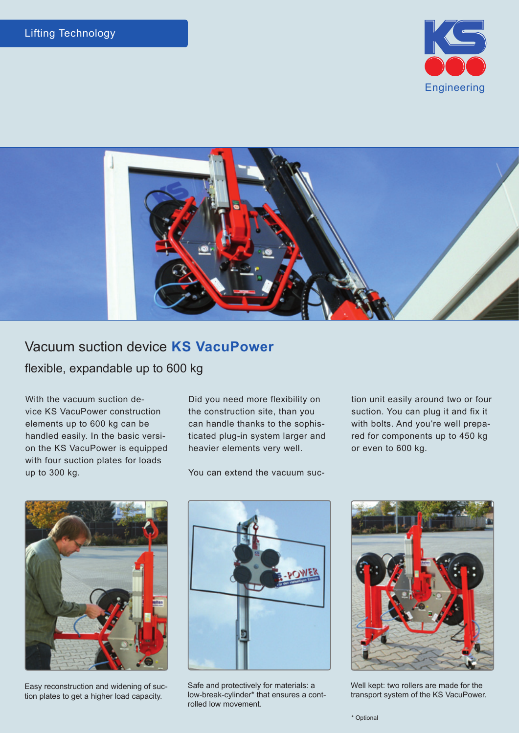



## Vacuum suction device **KS VacuPower**  flexible, expandable up to 600 kg

With the vacuum suction device KS VacuPower construction elements up to 600 kg can be handled easily. In the basic version the KS VacuPower is equipped with four suction plates for loads up to 300 kg.

Did you need more flexibility on the construction site, than you can handle thanks to the sophisticated plug-in system larger and heavier elements very well.

You can extend the vacuum suc-

tion unit easily around two or four suction. You can plug it and fix it with bolts. And you're well prepared for components up to 450 kg or even to 600 kg.



Easy reconstruction and widening of suction plates to get a higher load capacity.



Safe and protectively for materials: a low-break-cylinder\* that ensures a controlled low movement.



Well kept: two rollers are made for the transport system of the KS VacuPower.